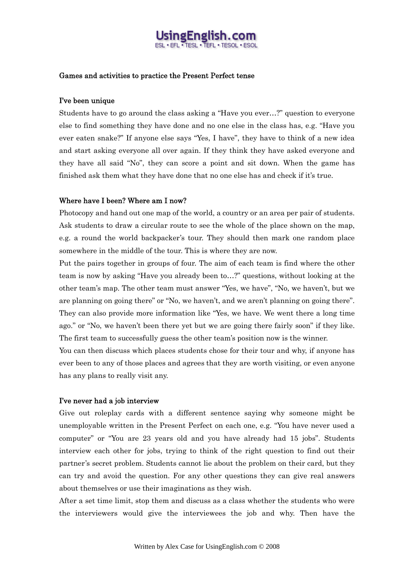# ingFnglish

### Games and activities to practice the Present Perfect tense

### I've been unique

Students have to go around the class asking a "Have you ever…?" question to everyone else to find something they have done and no one else in the class has, e.g. "Have you ever eaten snake?" If anyone else says "Yes, I have", they have to think of a new idea and start asking everyone all over again. If they think they have asked everyone and they have all said "No", they can score a point and sit down. When the game has finished ask them what they have done that no one else has and check if it's true.

### Where have I been? Where am I now?

Photocopy and hand out one map of the world, a country or an area per pair of students. Ask students to draw a circular route to see the whole of the place shown on the map, e.g. a round the world backpacker's tour. They should then mark one random place somewhere in the middle of the tour. This is where they are now.

Put the pairs together in groups of four. The aim of each team is find where the other team is now by asking "Have you already been to…?" questions, without looking at the other team's map. The other team must answer "Yes, we have", "No, we haven't, but we are planning on going there" or "No, we haven't, and we aren't planning on going there". They can also provide more information like "Yes, we have. We went there a long time ago." or "No, we haven't been there yet but we are going there fairly soon" if they like. The first team to successfully guess the other team's position now is the winner.

You can then discuss which places students chose for their tour and why, if anyone has ever been to any of those places and agrees that they are worth visiting, or even anyone has any plans to really visit any.

#### I've never had a job interview

Give out roleplay cards with a different sentence saying why someone might be unemployable written in the Present Perfect on each one, e.g. "You have never used a computer" or "You are 23 years old and you have already had 15 jobs". Students interview each other for jobs, trying to think of the right question to find out their partner's secret problem. Students cannot lie about the problem on their card, but they can try and avoid the question. For any other questions they can give real answers about themselves or use their imaginations as they wish.

After a set time limit, stop them and discuss as a class whether the students who were the interviewers would give the interviewees the job and why. Then have the